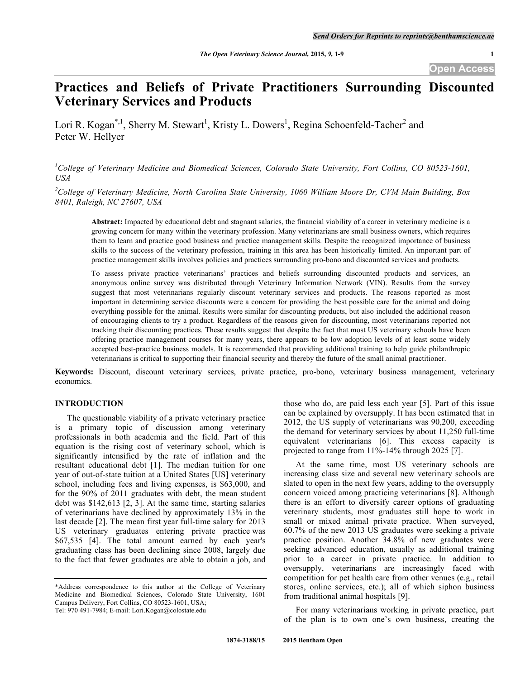# **Practices and Beliefs of Private Practitioners Surrounding Discounted Veterinary Services and Products**

Lori R. Kogan<sup>\*,1</sup>, Sherry M. Stewart<sup>1</sup>, Kristy L. Dowers<sup>1</sup>, Regina Schoenfeld-Tacher<sup>2</sup> and Peter W. Hellyer

*1 College of Veterinary Medicine and Biomedical Sciences, Colorado State University, Fort Collins, CO 80523-1601, USA*

*2 College of Veterinary Medicine, North Carolina State University, 1060 William Moore Dr, CVM Main Building, Box 8401, Raleigh, NC 27607, USA*

**Abstract:** Impacted by educational debt and stagnant salaries, the financial viability of a career in veterinary medicine is a growing concern for many within the veterinary profession. Many veterinarians are small business owners, which requires them to learn and practice good business and practice management skills. Despite the recognized importance of business skills to the success of the veterinary profession, training in this area has been historically limited. An important part of practice management skills involves policies and practices surrounding pro-bono and discounted services and products.

To assess private practice veterinarians' practices and beliefs surrounding discounted products and services, an anonymous online survey was distributed through Veterinary Information Network (VIN). Results from the survey suggest that most veterinarians regularly discount veterinary services and products. The reasons reported as most important in determining service discounts were a concern for providing the best possible care for the animal and doing everything possible for the animal. Results were similar for discounting products, but also included the additional reason of encouraging clients to try a product. Regardless of the reasons given for discounting, most veterinarians reported not tracking their discounting practices. These results suggest that despite the fact that most US veterinary schools have been offering practice management courses for many years, there appears to be low adoption levels of at least some widely accepted best-practice business models. It is recommended that providing additional training to help guide philanthropic veterinarians is critical to supporting their financial security and thereby the future of the small animal practitioner.

**Keywords:** Discount, discount veterinary services, private practice, pro-bono, veterinary business management, veterinary economics.

#### **INTRODUCTION**

The questionable viability of a private veterinary practice is a primary topic of discussion among veterinary professionals in both academia and the field. Part of this equation is the rising cost of veterinary school, which is significantly intensified by the rate of inflation and the resultant educational debt [1]. The median tuition for one year of out-of-state tuition at a United States [US] veterinary school, including fees and living expenses, is \$63,000, and for the 90% of 2011 graduates with debt, the mean student debt was \$142,613 [2, 3]. At the same time, starting salaries of veterinarians have declined by approximately 13% in the last decade [2]. The mean first year full-time salary for 2013 US veterinary graduates entering private practice was \$67,535 [4]. The total amount earned by each year's graduating class has been declining since 2008, largely due to the fact that fewer graduates are able to obtain a job, and

\*Address correspondence to this author at the College of Veterinary Medicine and Biomedical Sciences, Colorado State University, 1601 Campus Delivery, Fort Collins, CO 80523-1601, USA;

those who do, are paid less each year [5]. Part of this issue can be explained by oversupply. It has been estimated that in 2012, the US supply of veterinarians was 90,200, exceeding the demand for veterinary services by about 11,250 full-time equivalent veterinarians [6]. This excess capacity is projected to range from 11%-14% through 2025 [7].

At the same time, most US veterinary schools are increasing class size and several new veterinary schools are slated to open in the next few years, adding to the oversupply concern voiced among practicing veterinarians [8]. Although there is an effort to diversify career options of graduating veterinary students, most graduates still hope to work in small or mixed animal private practice. When surveyed, 60.7% of the new 2013 US graduates were seeking a private practice position. Another 34.8% of new graduates were seeking advanced education, usually as additional training prior to a career in private practice. In addition to oversupply, veterinarians are increasingly faced with competition for pet health care from other venues (e.g., retail stores, online services, etc.); all of which siphon business from traditional animal hospitals [9].

For many veterinarians working in private practice, part of the plan is to own one's own business, creating the

Tel: 970 491-7984; E-mail: Lori.Kogan@colostate.edu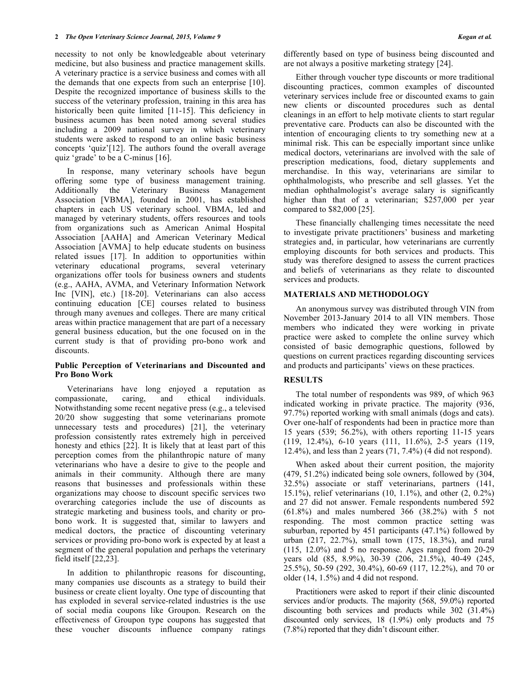necessity to not only be knowledgeable about veterinary medicine, but also business and practice management skills. A veterinary practice is a service business and comes with all the demands that one expects from such an enterprise [10]. Despite the recognized importance of business skills to the success of the veterinary profession, training in this area has historically been quite limited [11-15]. This deficiency in business acumen has been noted among several studies including a 2009 national survey in which veterinary students were asked to respond to an online basic business concepts 'quiz'[12]. The authors found the overall average quiz 'grade' to be a C-minus [16].

In response, many veterinary schools have begun offering some type of business management training. Additionally the Veterinary Business Management Association [VBMA], founded in 2001, has established chapters in each US veterinary school. VBMA, led and managed by veterinary students, offers resources and tools from organizations such as American Animal Hospital Association [AAHA] and American Veterinary Medical Association [AVMA] to help educate students on business related issues [17]. In addition to opportunities within veterinary educational programs, several veterinary organizations offer tools for business owners and students (e.g., AAHA, AVMA, and Veterinary Information Network Inc [VIN], etc.) [18-20]. Veterinarians can also access continuing education [CE] courses related to business through many avenues and colleges. There are many critical areas within practice management that are part of a necessary general business education, but the one focused on in the current study is that of providing pro-bono work and discounts.

### **Public Perception of Veterinarians and Discounted and Pro Bono Work**

Veterinarians have long enjoyed a reputation as compassionate, caring, and ethical individuals. Notwithstanding some recent negative press (e.g., a televised 20/20 show suggesting that some veterinarians promote unnecessary tests and procedures) [21], the veterinary profession consistently rates extremely high in perceived honesty and ethics [22]. It is likely that at least part of this perception comes from the philanthropic nature of many veterinarians who have a desire to give to the people and animals in their community. Although there are many reasons that businesses and professionals within these organizations may choose to discount specific services two overarching categories include the use of discounts as strategic marketing and business tools, and charity or probono work. It is suggested that, similar to lawyers and medical doctors, the practice of discounting veterinary services or providing pro-bono work is expected by at least a segment of the general population and perhaps the veterinary field itself [22,23].

In addition to philanthropic reasons for discounting, many companies use discounts as a strategy to build their business or create client loyalty. One type of discounting that has exploded in several service-related industries is the use of social media coupons like Groupon. Research on the effectiveness of Groupon type coupons has suggested that these voucher discounts influence company ratings

differently based on type of business being discounted and are not always a positive marketing strategy [24].

Either through voucher type discounts or more traditional discounting practices, common examples of discounted veterinary services include free or discounted exams to gain new clients or discounted procedures such as dental cleanings in an effort to help motivate clients to start regular preventative care. Products can also be discounted with the intention of encouraging clients to try something new at a minimal risk. This can be especially important since unlike medical doctors, veterinarians are involved with the sale of prescription medications, food, dietary supplements and merchandise. In this way, veterinarians are similar to ophthalmologists, who prescribe and sell glasses. Yet the median ophthalmologist's average salary is significantly higher than that of a veterinarian; \$257,000 per year compared to \$82,000 [25].

These financially challenging times necessitate the need to investigate private practitioners' business and marketing strategies and, in particular, how veterinarians are currently employing discounts for both services and products. This study was therefore designed to assess the current practices and beliefs of veterinarians as they relate to discounted services and products.

# **MATERIALS AND METHODOLOGY**

An anonymous survey was distributed through VIN from November 2013-January 2014 to all VIN members. Those members who indicated they were working in private practice were asked to complete the online survey which consisted of basic demographic questions, followed by questions on current practices regarding discounting services and products and participants' views on these practices.

# **RESULTS**

The total number of respondents was 989, of which 963 indicated working in private practice. The majority (936, 97.7%) reported working with small animals (dogs and cats). Over one-half of respondents had been in practice more than 15 years (539; 56.2%), with others reporting 11-15 years (119, 12.4%), 6-10 years (111, 11.6%), 2-5 years (119, 12.4%), and less than 2 years (71, 7.4%) (4 did not respond).

When asked about their current position, the majority (479, 51.2%) indicated being sole owners, followed by (304, 32.5%) associate or staff veterinarians, partners (141, 15.1%), relief veterinarians (10, 1.1%), and other (2, 0.2%) and 27 did not answer. Female respondents numbered 592  $(61.8\%)$  and males numbered 366  $(38.2\%)$  with 5 not responding. The most common practice setting was suburban, reported by 451 participants (47.1%) followed by urban (217, 22.7%), small town (175, 18.3%), and rural (115, 12.0%) and 5 no response. Ages ranged from 20-29 years old (85, 8.9%), 30-39 (206, 21.5%), 40-49 (245, 25.5%), 50-59 (292, 30.4%), 60-69 (117, 12.2%), and 70 or older (14, 1.5%) and 4 did not respond.

Practitioners were asked to report if their clinic discounted services and/or products. The majority (568, 59.0%) reported discounting both services and products while 302 (31.4%) discounted only services, 18 (1.9%) only products and 75 (7.8%) reported that they didn't discount either.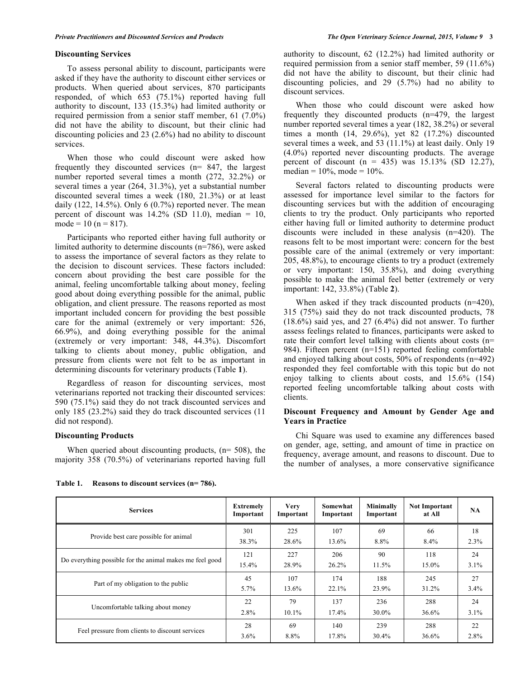To assess personal ability to discount, participants were asked if they have the authority to discount either services or products. When queried about services, 870 participants responded, of which 653 (75.1%) reported having full authority to discount, 133 (15.3%) had limited authority or required permission from a senior staff member, 61 (7.0%) did not have the ability to discount, but their clinic had discounting policies and 23 (2.6%) had no ability to discount services.

When those who could discount were asked how frequently they discounted services (n= 847, the largest number reported several times a month (272, 32.2%) or several times a year (264, 31.3%), yet a substantial number discounted several times a week (180, 21.3%) or at least daily  $(122, 14.5\%)$ . Only 6  $(0.7\%)$  reported never. The mean percent of discount was  $14.2\%$  (SD 11.0), median = 10, mode =  $10$  (n =  $817$ ).

Participants who reported either having full authority or limited authority to determine discounts (n=786), were asked to assess the importance of several factors as they relate to the decision to discount services. These factors included: concern about providing the best care possible for the animal, feeling uncomfortable talking about money, feeling good about doing everything possible for the animal, public obligation, and client pressure. The reasons reported as most important included concern for providing the best possible care for the animal (extremely or very important: 526, 66.9%), and doing everything possible for the animal (extremely or very important: 348, 44.3%). Discomfort talking to clients about money, public obligation, and pressure from clients were not felt to be as important in determining discounts for veterinary products (Table **1**).

Regardless of reason for discounting services, most veterinarians reported not tracking their discounted services: 590 (75.1%) said they do not track discounted services and only 185 (23.2%) said they do track discounted services (11 did not respond).

#### **Discounting Products**

When queried about discounting products,  $(n= 508)$ , the majority 358 (70.5%) of veterinarians reported having full authority to discount, 62 (12.2%) had limited authority or required permission from a senior staff member, 59 (11.6%) did not have the ability to discount, but their clinic had discounting policies, and 29 (5.7%) had no ability to discount services.

When those who could discount were asked how frequently they discounted products (n=479, the largest number reported several times a year (182, 38.2%) or several times a month (14, 29.6%), yet 82 (17.2%) discounted several times a week, and 53 (11.1%) at least daily. Only 19 (4.0%) reported never discounting products. The average percent of discount  $(n = 435)$  was  $15.13\%$  (SD 12.27), median =  $10\%$ , mode =  $10\%$ .

Several factors related to discounting products were assessed for importance level similar to the factors for discounting services but with the addition of encouraging clients to try the product. Only participants who reported either having full or limited authority to determine product discounts were included in these analysis (n=420). The reasons felt to be most important were: concern for the best possible care of the animal (extremely or very important: 205, 48.8%), to encourage clients to try a product (extremely or very important: 150, 35.8%), and doing everything possible to make the animal feel better (extremely or very important: 142, 33.8%) (Table **2**).

When asked if they track discounted products (n=420), 315 (75%) said they do not track discounted products, 78 (18.6%) said yes, and 27 (6.4%) did not answer. To further assess feelings related to finances, participants were asked to rate their comfort level talking with clients about costs (n= 984). Fifteen percent (n=151) reported feeling comfortable and enjoyed talking about costs, 50% of respondents (n=492) responded they feel comfortable with this topic but do not enjoy talking to clients about costs, and 15.6% (154) reported feeling uncomfortable talking about costs with clients.

#### **Discount Frequency and Amount by Gender Age and Years in Practice**

Chi Square was used to examine any differences based on gender, age, setting, and amount of time in practice on frequency, average amount, and reasons to discount. Due to the number of analyses, a more conservative significance

| <b>Services</b>                                          | <b>Extremely</b><br>Important | <b>Very</b><br>Important | Somewhat<br>Important | Minimally<br>Important | <b>Not Important</b><br>at All | NA.  |
|----------------------------------------------------------|-------------------------------|--------------------------|-----------------------|------------------------|--------------------------------|------|
| Provide best care possible for animal                    | 301                           | 225                      | 107                   | 69                     | 66                             | 18   |
|                                                          | 38.3%                         | 28.6%                    | 13.6%                 | 8.8%                   | $8.4\%$                        | 2.3% |
| Do everything possible for the animal makes me feel good | 121                           | 227                      | 206                   | 90                     | 118                            | 24   |
|                                                          | 15.4%                         | 28.9%                    | 26.2%                 | 11.5%                  | 15.0%                          | 3.1% |
| Part of my obligation to the public                      | 45                            | 107                      | 174                   | 188                    | 245                            | 27   |
|                                                          | $5.7\%$                       | 13.6%                    | 22.1%                 | 23.9%                  | 31.2%                          | 3.4% |
| Uncomfortable talking about money                        | 22                            | 79                       | 137                   | 236                    | 288                            | 24   |
|                                                          | $2.8\%$                       | $10.1\%$                 | $17.4\%$              | $30.0\%$               | 36.6%                          | 3.1% |
| Feel pressure from clients to discount services          | 28                            | 69                       | 140                   | 239                    | 288                            | 22   |
|                                                          | $3.6\%$                       | 8.8%                     | 17.8%                 | $30.4\%$               | 36.6%                          | 2.8% |
|                                                          |                               |                          |                       |                        |                                |      |

**Table 1. Reasons to discount services (n= 786).**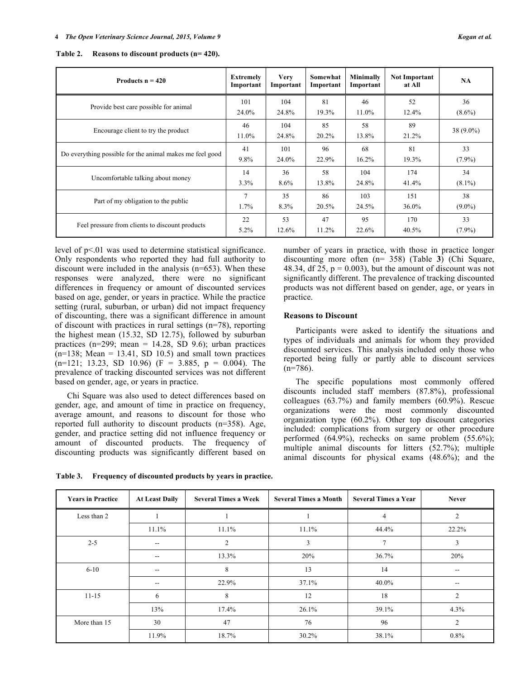| Kogan et |  |  |
|----------|--|--|
|----------|--|--|

| Products $n = 420$                                       | <b>Extremely</b><br>Important | <b>Very</b><br>Important | Somewhat<br>Important | <b>Minimally</b><br>Important | <b>Not Important</b><br>at All | <b>NA</b>   |
|----------------------------------------------------------|-------------------------------|--------------------------|-----------------------|-------------------------------|--------------------------------|-------------|
| Provide best care possible for animal                    | 101                           | 104                      | 81                    | 46                            | 52                             | 36          |
|                                                          | 24.0%                         | 24.8%                    | 19.3%                 | 11.0%                         | 12.4%                          | $(8.6\%)$   |
| Encourage client to try the product                      | 46<br>11.0%                   | 104<br>24.8%             | 85<br>20.2%           | 58<br>13.8%                   | 89<br>21.2%                    | $38(9.0\%)$ |
| Do everything possible for the animal makes me feel good | 41                            | 101                      | 96                    | 68                            | 81                             | 33          |
|                                                          | 9.8%                          | 24.0%                    | 22.9%                 | 16.2%                         | 19.3%                          | $(7.9\%)$   |
| Uncomfortable talking about money                        | 14                            | 36                       | 58                    | 104                           | 174                            | 34          |
|                                                          | 3.3%                          | 8.6%                     | 13.8%                 | 24.8%                         | 41.4%                          | $(8.1\%)$   |
| Part of my obligation to the public                      | 7                             | 35                       | 86                    | 103                           | 151                            | 38          |
|                                                          | $1.7\%$                       | $8.3\%$                  | 20.5%                 | 24.5%                         | 36.0%                          | $(9.0\%)$   |
| Feel pressure from clients to discount products          | 22                            | 53                       | 47                    | 95                            | 170                            | 33          |
|                                                          | $5.2\%$                       | 12.6%                    | 11.2%                 | 22.6%                         | 40.5%                          | $(7.9\%)$   |

**Table 2. Reasons to discount products (n= 420).**

level of  $p<01$  was used to determine statistical significance. Only respondents who reported they had full authority to discount were included in the analysis (n=653). When these responses were analyzed, there were no significant differences in frequency or amount of discounted services based on age, gender, or years in practice. While the practice setting (rural, suburban, or urban) did not impact frequency of discounting, there was a significant difference in amount of discount with practices in rural settings (n=78), reporting the highest mean (15.32, SD 12.75), followed by suburban practices (n=299; mean = 14.28, SD 9.6); urban practices  $(n=138; Mean = 13.41, SD 10.5)$  and small town practices  $(n=121; 13.23, SD 10.96)$   $(F = 3.885, p = 0.004)$ . The prevalence of tracking discounted services was not different based on gender, age, or years in practice.

Chi Square was also used to detect differences based on gender, age, and amount of time in practice on frequency, average amount, and reasons to discount for those who reported full authority to discount products (n=358). Age, gender, and practice setting did not influence frequency or amount of discounted products. The frequency of discounting products was significantly different based on

number of years in practice, with those in practice longer discounting more often (n= 358) (Table **3**) (Chi Square, 48.34, df 25,  $p = 0.003$ ), but the amount of discount was not significantly different. The prevalence of tracking discounted products was not different based on gender, age, or years in practice.

#### **Reasons to Discount**

Participants were asked to identify the situations and types of individuals and animals for whom they provided discounted services. This analysis included only those who reported being fully or partly able to discount services  $(n=786)$ .

The specific populations most commonly offered discounts included staff members (87.8%), professional colleagues (63.7%) and family members (60.9%). Rescue organizations were the most commonly discounted organization type (60.2%). Other top discount categories included: complications from surgery or other procedure performed (64.9%), rechecks on same problem (55.6%); multiple animal discounts for litters (52.7%); multiple animal discounts for physical exams (48.6%); and the

**Table 3. Frequency of discounted products by years in practice.**

| <b>Years in Practice</b> | <b>At Least Daily</b> | <b>Several Times a Week</b> | <b>Several Times a Month</b> | <b>Several Times a Year</b> | <b>Never</b>   |
|--------------------------|-----------------------|-----------------------------|------------------------------|-----------------------------|----------------|
| Less than 2              |                       |                             |                              | 4                           | $\mathfrak{D}$ |
|                          | 11.1%                 | 11.1%                       | 11.1%                        | 44.4%                       | 22.2%          |
| $2 - 5$                  | $- -$                 | 2                           | 3                            | $\overline{7}$              | 3              |
|                          | $- -$                 | 13.3%                       | 20%                          | 36.7%                       | 20%            |
| $6 - 10$                 | $- -$                 | 8                           | 13                           | 14                          | --             |
|                          | $- -$                 | 22.9%                       | 37.1%                        | 40.0%                       | $-$            |
| $11 - 15$                | 6                     | 8                           | 12                           | 18                          | $\overline{c}$ |
|                          | 13%                   | 17.4%                       | 26.1%                        | 39.1%                       | 4.3%           |
| More than 15             | 30                    | 47                          | 76                           | 96                          | $\mathfrak{D}$ |
|                          | 11.9%                 | 18.7%                       | 30.2%                        | 38.1%                       | $0.8\%$        |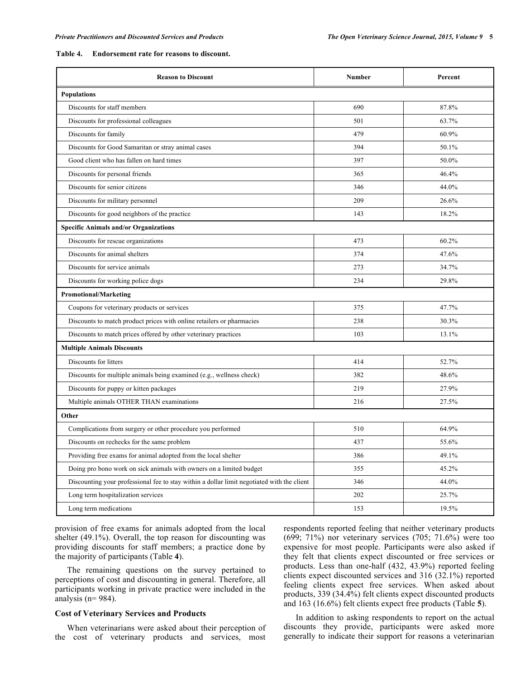#### **Table 4. Endorsement rate for reasons to discount.**

| <b>Reason to Discount</b>                                                                  | Number | Percent |
|--------------------------------------------------------------------------------------------|--------|---------|
| <b>Populations</b>                                                                         |        |         |
| Discounts for staff members                                                                | 690    | 87.8%   |
| Discounts for professional colleagues                                                      | 501    | 63.7%   |
| Discounts for family                                                                       | 479    | 60.9%   |
| Discounts for Good Samaritan or stray animal cases                                         | 394    | 50.1%   |
| Good client who has fallen on hard times                                                   | 397    | 50.0%   |
| Discounts for personal friends                                                             | 365    | 46.4%   |
| Discounts for senior citizens                                                              | 346    | 44.0%   |
| Discounts for military personnel                                                           | 209    | 26.6%   |
| Discounts for good neighbors of the practice                                               | 143    | 18.2%   |
| <b>Specific Animals and/or Organizations</b>                                               |        |         |
| Discounts for rescue organizations                                                         | 473    | 60.2%   |
| Discounts for animal shelters                                                              | 374    | 47.6%   |
| Discounts for service animals                                                              | 273    | 34.7%   |
| Discounts for working police dogs                                                          | 234    | 29.8%   |
| <b>Promotional/Marketing</b>                                                               |        |         |
| Coupons for veterinary products or services                                                | 375    | 47.7%   |
| Discounts to match product prices with online retailers or pharmacies                      | 238    | 30.3%   |
| Discounts to match prices offered by other veterinary practices                            | 103    | 13.1%   |
| <b>Multiple Animals Discounts</b>                                                          |        |         |
| Discounts for litters                                                                      | 414    | 52.7%   |
| Discounts for multiple animals being examined (e.g., wellness check)                       | 382    | 48.6%   |
| Discounts for puppy or kitten packages                                                     | 219    | 27.9%   |
| Multiple animals OTHER THAN examinations                                                   | 216    | 27.5%   |
| Other                                                                                      |        |         |
| Complications from surgery or other procedure you performed                                | 510    | 64.9%   |
| Discounts on rechecks for the same problem                                                 | 437    | 55.6%   |
| Providing free exams for animal adopted from the local shelter                             | 386    | 49.1%   |
| Doing pro bono work on sick animals with owners on a limited budget                        | 355    | 45.2%   |
| Discounting your professional fee to stay within a dollar limit negotiated with the client | 346    | 44.0%   |
| Long term hospitalization services                                                         | 202    | 25.7%   |
| Long term medications                                                                      | 153    | 19.5%   |

provision of free exams for animals adopted from the local shelter (49.1%). Overall, the top reason for discounting was providing discounts for staff members; a practice done by the majority of participants (Table **4**).

The remaining questions on the survey pertained to perceptions of cost and discounting in general. Therefore, all participants working in private practice were included in the analysis ( $n= 984$ ).

#### **Cost of Veterinary Services and Products**

When veterinarians were asked about their perception of the cost of veterinary products and services, most respondents reported feeling that neither veterinary products (699; 71%) nor veterinary services  $(705; 71.6%)$  were too expensive for most people. Participants were also asked if they felt that clients expect discounted or free services or products. Less than one-half (432, 43.9%) reported feeling clients expect discounted services and 316 (32.1%) reported feeling clients expect free services. When asked about products, 339 (34.4%) felt clients expect discounted products and 163 (16.6%) felt clients expect free products (Table **5**).

In addition to asking respondents to report on the actual discounts they provide, participants were asked more generally to indicate their support for reasons a veterinarian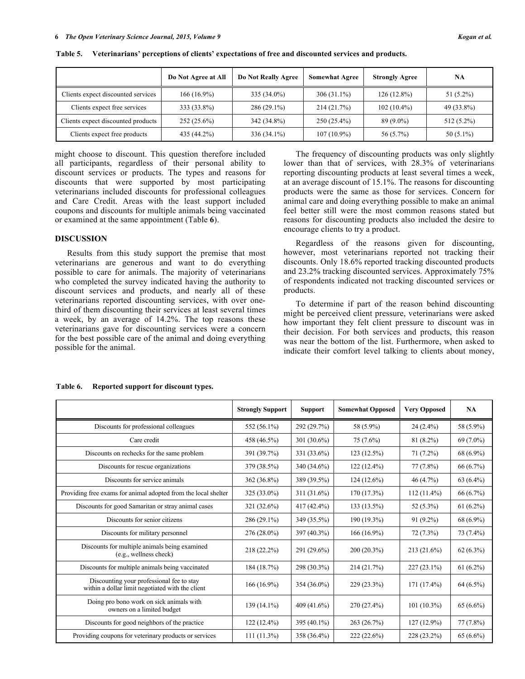|                                    | Do Not Agree at All | <b>Do Not Really Agree</b> | <b>Somewhat Agree</b> | <b>Strongly Agree</b> | <b>NA</b>    |
|------------------------------------|---------------------|----------------------------|-----------------------|-----------------------|--------------|
| Clients expect discounted services | $166(16.9\%)$       | 335 (34.0%)                | $306(31.1\%)$         | $126(12.8\%)$         | $51(5.2\%)$  |
| Clients expect free services       | 333 (33.8%)         | $286(29.1\%)$              | 214 (21.7%)           | $102(10.4\%)$         | 49 (33.8%)   |
| Clients expect discounted products | $252(25.6\%)$       | 342 (34.8%)                | $250(25.4\%)$         | $89(9.0\%)$           | $512(5.2\%)$ |
| Clients expect free products       | 435 (44.2%)         | 336 (34.1%)                | $107(10.9\%)$         | 56 (5.7%)             | $50(5.1\%)$  |

**Table 5. Veterinarians' perceptions of clients' expectations of free and discounted services and products.**

might choose to discount. This question therefore included all participants, regardless of their personal ability to discount services or products. The types and reasons for discounts that were supported by most participating veterinarians included discounts for professional colleagues and Care Credit. Areas with the least support included coupons and discounts for multiple animals being vaccinated or examined at the same appointment (Table **6**).

### **DISCUSSION**

Results from this study support the premise that most veterinarians are generous and want to do everything possible to care for animals. The majority of veterinarians who completed the survey indicated having the authority to discount services and products, and nearly all of these veterinarians reported discounting services, with over onethird of them discounting their services at least several times a week, by an average of 14.2%. The top reasons these veterinarians gave for discounting services were a concern for the best possible care of the animal and doing everything possible for the animal.

The frequency of discounting products was only slightly lower than that of services, with 28.3% of veterinarians reporting discounting products at least several times a week, at an average discount of 15.1%. The reasons for discounting products were the same as those for services. Concern for animal care and doing everything possible to make an animal feel better still were the most common reasons stated but reasons for discounting products also included the desire to encourage clients to try a product.

Regardless of the reasons given for discounting, however, most veterinarians reported not tracking their discounts. Only 18.6% reported tracking discounted products and 23.2% tracking discounted services. Approximately 75% of respondents indicated not tracking discounted services or products.

To determine if part of the reason behind discounting might be perceived client pressure, veterinarians were asked how important they felt client pressure to discount was in their decision. For both services and products, this reason was near the bottom of the list. Furthermore, when asked to indicate their comfort level talking to clients about money,

#### **Table 6. Reported support for discount types.**

|                                                                                               | <b>Strongly Support</b> | <b>Support</b> | <b>Somewhat Opposed</b> | <b>Very Opposed</b> | NA          |
|-----------------------------------------------------------------------------------------------|-------------------------|----------------|-------------------------|---------------------|-------------|
| Discounts for professional colleagues                                                         | 552 (56.1%)             | 292 (29.7%)    | 58 (5.9%)               | $24(2.4\%)$         | 58 (5.9%)   |
| Care credit                                                                                   | 458 (46.5%)             | 301 $(30.6\%)$ | $75(7.6\%)$             | $81(8.2\%)$         | $69(7.0\%)$ |
| Discounts on rechecks for the same problem                                                    | 391 (39.7%)             | 331 (33.6%)    | 123(12.5%)              | $71(7.2\%)$         | 68 (6.9%)   |
| Discounts for rescue organizations                                                            | 379 (38.5%)             | 340 (34.6%)    | $122(12.4\%)$           | 77(7.8%)            | 66 (6.7%)   |
| Discounts for service animals                                                                 | 362 (36.8%)             | 389 (39.5%)    | $124(12.6\%)$           | 46(4.7%)            | $63(6.4\%)$ |
| Providing free exams for animal adopted from the local shelter                                | $325(33.0\%)$           | $311(31.6\%)$  | $170(17.3\%)$           | $112(11.4\%)$       | $66(6.7\%)$ |
| Discounts for good Samaritan or stray animal cases                                            | 321 (32.6%)             | 417 (42.4%)    | $133(13.5\%)$           | 52 (5.3%)           | $61(6.2\%)$ |
| Discounts for senior citizens                                                                 | $286(29.1\%)$           | 349 (35.5%)    | 190 (19.3%)             | $91(9.2\%)$         | 68 (6.9%)   |
| Discounts for military personnel                                                              | $276(28.0\%)$           | 397 (40.3%)    | 166 (16.9%)             | $72(7.3\%)$         | 73 (7.4%)   |
| Discounts for multiple animals being examined<br>(e.g., wellness check)                       | $218(22.2\%)$           | 291 (29.6%)    | $200(20.3\%)$           | $213(21.6\%)$       | $62(6.3\%)$ |
| Discounts for multiple animals being vaccinated                                               | 184 (18.7%)             | 298 (30.3%)    | 214(21.7%)              | $227(23.1\%)$       | $61(6.2\%)$ |
| Discounting your professional fee to stay<br>within a dollar limit negotiated with the client | 166 (16.9%)             | 354 (36.0%)    | $229(23.3\%)$           | $171(17.4\%)$       | $64(6.5\%)$ |
| Doing pro bono work on sick animals with<br>owners on a limited budget                        | 139 (14.1%)             | 409 (41.6%)    | 270 (27.4%)             | $101(10.3\%)$       | $65(6.6\%)$ |
| Discounts for good neighbors of the practice                                                  | $122(12.4\%)$           | 395 (40.1%)    | 263(26.7%)              | $127(12.9\%)$       | 77(7.8%)    |
| Providing coupons for veterinary products or services                                         | $111(11.3\%)$           | 358 (36.4%)    | $222(22.6\%)$           | 228 (23.2%)         | $65(6.6\%)$ |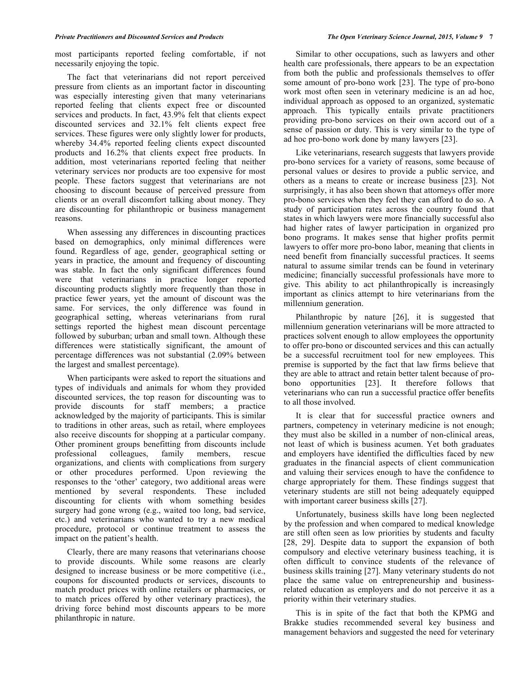most participants reported feeling comfortable, if not necessarily enjoying the topic.

The fact that veterinarians did not report perceived pressure from clients as an important factor in discounting was especially interesting given that many veterinarians reported feeling that clients expect free or discounted services and products. In fact, 43.9% felt that clients expect discounted services and 32.1% felt clients expect free services. These figures were only slightly lower for products, whereby 34.4% reported feeling clients expect discounted products and 16.2% that clients expect free products. In addition, most veterinarians reported feeling that neither veterinary services nor products are too expensive for most people. These factors suggest that veterinarians are not choosing to discount because of perceived pressure from clients or an overall discomfort talking about money. They are discounting for philanthropic or business management reasons.

When assessing any differences in discounting practices based on demographics, only minimal differences were found. Regardless of age, gender, geographical setting or years in practice, the amount and frequency of discounting was stable. In fact the only significant differences found were that veterinarians in practice longer reported discounting products slightly more frequently than those in practice fewer years, yet the amount of discount was the same. For services, the only difference was found in geographical setting, whereas veterinarians from rural settings reported the highest mean discount percentage followed by suburban; urban and small town. Although these differences were statistically significant, the amount of percentage differences was not substantial (2.09% between the largest and smallest percentage).

When participants were asked to report the situations and types of individuals and animals for whom they provided discounted services, the top reason for discounting was to provide discounts for staff members; a practice acknowledged by the majority of participants. This is similar to traditions in other areas, such as retail, where employees also receive discounts for shopping at a particular company. Other prominent groups benefitting from discounts include professional colleagues, family members, rescue organizations, and clients with complications from surgery or other procedures performed. Upon reviewing the responses to the 'other' category, two additional areas were mentioned by several respondents. These included discounting for clients with whom something besides surgery had gone wrong (e.g., waited too long, bad service, etc.) and veterinarians who wanted to try a new medical procedure, protocol or continue treatment to assess the impact on the patient's health.

Clearly, there are many reasons that veterinarians choose to provide discounts. While some reasons are clearly designed to increase business or be more competitive (i.e., coupons for discounted products or services, discounts to match product prices with online retailers or pharmacies, or to match prices offered by other veterinary practices), the driving force behind most discounts appears to be more philanthropic in nature.

Similar to other occupations, such as lawyers and other health care professionals, there appears to be an expectation from both the public and professionals themselves to offer some amount of pro-bono work [23]. The type of pro-bono work most often seen in veterinary medicine is an ad hoc, individual approach as opposed to an organized, systematic approach. This typically entails private practitioners providing pro-bono services on their own accord out of a sense of passion or duty. This is very similar to the type of ad hoc pro-bono work done by many lawyers [23].

Like veterinarians, research suggests that lawyers provide pro-bono services for a variety of reasons, some because of personal values or desires to provide a public service, and others as a means to create or increase business [23]. Not surprisingly, it has also been shown that attorneys offer more pro-bono services when they feel they can afford to do so. A study of participation rates across the country found that states in which lawyers were more financially successful also had higher rates of lawyer participation in organized pro bono programs. It makes sense that higher profits permit lawyers to offer more pro-bono labor, meaning that clients in need benefit from financially successful practices. It seems natural to assume similar trends can be found in veterinary medicine; financially successful professionals have more to give. This ability to act philanthropically is increasingly important as clinics attempt to hire veterinarians from the millennium generation.

Philanthropic by nature [26], it is suggested that millennium generation veterinarians will be more attracted to practices solvent enough to allow employees the opportunity to offer pro-bono or discounted services and this can actually be a successful recruitment tool for new employees. This premise is supported by the fact that law firms believe that they are able to attract and retain better talent because of probono opportunities [23]. It therefore follows that veterinarians who can run a successful practice offer benefits to all those involved.

It is clear that for successful practice owners and partners, competency in veterinary medicine is not enough; they must also be skilled in a number of non-clinical areas, not least of which is business acumen. Yet both graduates and employers have identified the difficulties faced by new graduates in the financial aspects of client communication and valuing their services enough to have the confidence to charge appropriately for them. These findings suggest that veterinary students are still not being adequately equipped with important career business skills [27].

Unfortunately, business skills have long been neglected by the profession and when compared to medical knowledge are still often seen as low priorities by students and faculty [28, 29]. Despite data to support the expansion of both compulsory and elective veterinary business teaching, it is often difficult to convince students of the relevance of business skills training [27]. Many veterinary students do not place the same value on entrepreneurship and businessrelated education as employers and do not perceive it as a priority within their veterinary studies.

This is in spite of the fact that both the KPMG and Brakke studies recommended several key business and management behaviors and suggested the need for veterinary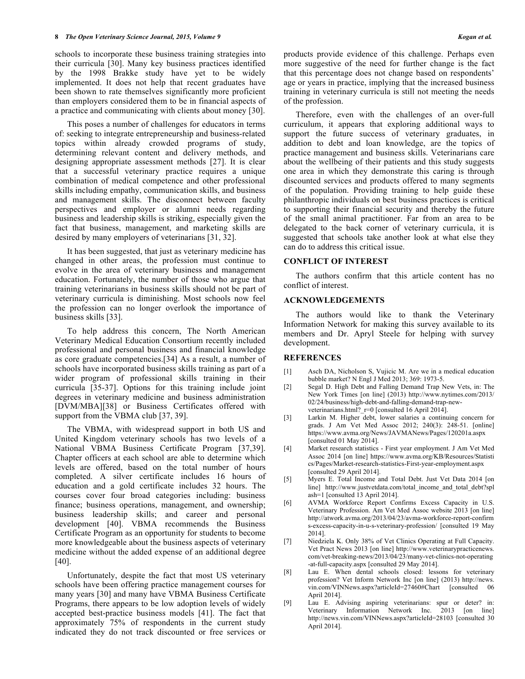schools to incorporate these business training strategies into their curricula [30]. Many key business practices identified by the 1998 Brakke study have yet to be widely implemented. It does not help that recent graduates have been shown to rate themselves significantly more proficient than employers considered them to be in financial aspects of a practice and communicating with clients about money [30].

This poses a number of challenges for educators in terms of: seeking to integrate entrepreneurship and business-related topics within already crowded programs of study, determining relevant content and delivery methods, and designing appropriate assessment methods [27]. It is clear that a successful veterinary practice requires a unique combination of medical competence and other professional skills including empathy, communication skills, and business and management skills. The disconnect between faculty perspectives and employer or alumni needs regarding business and leadership skills is striking, especially given the fact that business, management, and marketing skills are desired by many employers of veterinarians [31, 32].

It has been suggested, that just as veterinary medicine has changed in other areas, the profession must continue to evolve in the area of veterinary business and management education. Fortunately, the number of those who argue that training veterinarians in business skills should not be part of veterinary curricula is diminishing. Most schools now feel the profession can no longer overlook the importance of business skills [33].

To help address this concern, The North American Veterinary Medical Education Consortium recently included professional and personal business and financial knowledge as core graduate competencies.[34] As a result, a number of schools have incorporated business skills training as part of a wider program of professional skills training in their curricula [35-37]. Options for this training include joint degrees in veterinary medicine and business administration [DVM/MBA][38] or Business Certificates offered with support from the VBMA club [37, 39].

The VBMA, with widespread support in both US and United Kingdom veterinary schools has two levels of a National VBMA Business Certificate Program [37,39]. Chapter officers at each school are able to determine which levels are offered, based on the total number of hours completed. A silver certificate includes 16 hours of education and a gold certificate includes 32 hours. The courses cover four broad categories including: business finance; business operations, management, and ownership; business leadership skills; and career and personal development [40]. VBMA recommends the Business Certificate Program as an opportunity for students to become more knowledgeable about the business aspects of veterinary medicine without the added expense of an additional degree [40].

Unfortunately, despite the fact that most US veterinary schools have been offering practice management courses for many years [30] and many have VBMA Business Certificate Programs, there appears to be low adoption levels of widely accepted best-practice business models [41]. The fact that approximately 75% of respondents in the current study indicated they do not track discounted or free services or

Therefore, even with the challenges of an over-full curriculum, it appears that exploring additional ways to support the future success of veterinary graduates, in addition to debt and loan knowledge, are the topics of practice management and business skills. Veterinarians care about the wellbeing of their patients and this study suggests one area in which they demonstrate this caring is through discounted services and products offered to many segments of the population. Providing training to help guide these philanthropic individuals on best business practices is critical to supporting their financial security and thereby the future of the small animal practitioner. Far from an area to be delegated to the back corner of veterinary curricula, it is suggested that schools take another look at what else they can do to address this critical issue.

#### **CONFLICT OF INTEREST**

The authors confirm that this article content has no conflict of interest.

### **ACKNOWLEDGEMENTS**

The authors would like to thank the Veterinary Information Network for making this survey available to its members and Dr. Apryl Steele for helping with survey development.

### **REFERENCES**

- [1] Asch DA, Nicholson S, Vujicic M. Are we in a medical education bubble market? N Engl J Med 2013; 369: 1973-5.
- [2] Segal D. High Debt and Falling Demand Trap New Vets, in: The New York Times [on line] (2013) http://www.nytimes.com/2013/ 02/24/business/high-debt-and-falling-demand-trap-newveterinarians.html?\_r=0 [consulted 16 April 2014].
- [3] Larkin M. Higher debt, lower salaries a continuing concern for grads. J Am Vet Med Assoc 2012; 240(3): 248-51. [online] https://www.avma.org/News/JAVMANews/Pages/120201a.aspx [consulted 01 May 2014].
- [4] Market research statistics First year employment. J Am Vet Med Assoc 2014 [on line] https://www.avma.org/KB/Resources/Statisti cs/Pages/Market-research-statistics-First-year-employment.aspx [consulted 29 April 2014].
- [5] Myers E. Total Income and Total Debt. Just Vet Data 2014 [on line] http://www.justvetdata.com/total\_income\_and\_total\_debt?spl ash=1 [consulted 13 April 2014].
- [6] AVMA Workforce Report Confirms Excess Capacity in U.S. Veterinary Profession. Am Vet Med Assoc website 2013 [on line] http://atwork.avma.org/2013/04/23/avma-workforce-report-confirm s-excess-capacity-in-u-s-veterinary-profession/ [consulted 19 May 2014].
- [7] Niedziela K. Only 38% of Vet Clinics Operating at Full Capacity. Vet Pract News 2013 [on line] http://www.veterinarypracticenews. com/vet-breaking-news/2013/04/23/many-vet-clinics-not-operating -at-full-capacity.aspx [consulted 29 May 2014].
- [8] Lau E. When dental schools closed: lessons for veterinary profession? Vet Inform Network Inc [on line] (2013) http://news. vin.com/VINNews.aspx?articleId=27460#Chart [consulted 06 April 2014].
- [9] Lau E. Advising aspiring veterinarians: spur or deter? in: Veterinary Information Network Inc. 2013 [on line] http://news.vin.com/VINNews.aspx?articleId=28103 [consulted 30 April 2014].